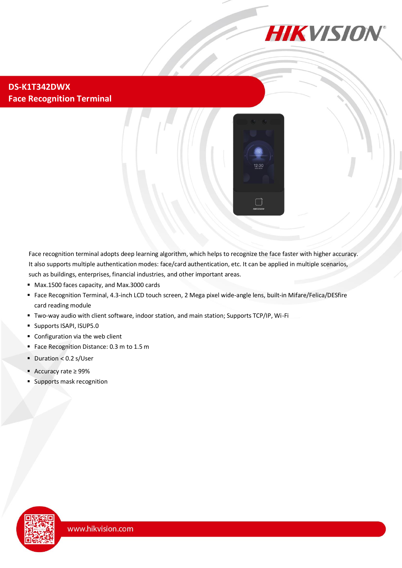

#### **DS-K1T342DWX Face Recognition Terminal**



Face recognition terminal adopts deep learning algorithm, which helps to recognize the face faster with higher accuracy. It also supports multiple authentication modes: face/card authentication, etc. It can be applied in multiple scenarios, such as buildings, enterprises, financial industries, and other important areas.

- Max.1500 faces capacity, and Max.3000 cards
- Face Recognition Terminal, 4.3-inch LCD touch screen, 2 Mega pixel wide-angle lens, built-in Mifare/Felica/DESfire card reading module
- Two-way audio with client software, indoor station, and main station; Supports TCP/IP, Wi-Fi
- **Supports ISAPI, ISUP5.0**
- Configuration via the web client
- **Face Recognition Distance: 0.3 m to 1.5 m**
- $\blacksquare$  Duration < 0.2 s/User
- Accuracy rate ≥ 99%
- Supports mask recognition

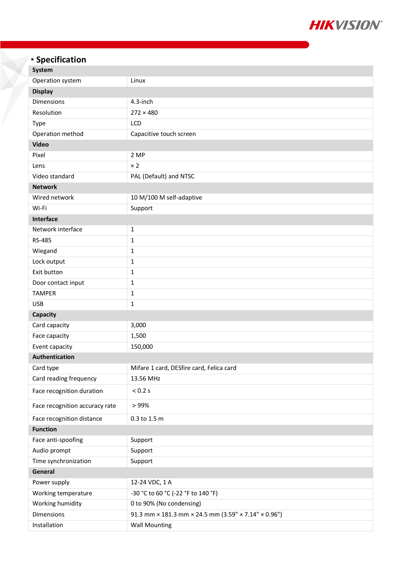

# **Specification**

| <b>System</b>                  |                                                      |  |
|--------------------------------|------------------------------------------------------|--|
| Operation system               | Linux                                                |  |
| <b>Display</b>                 |                                                      |  |
| Dimensions                     | 4.3-inch                                             |  |
| Resolution                     | $272 \times 480$                                     |  |
| <b>Type</b>                    | LCD                                                  |  |
| Operation method               | Capacitive touch screen                              |  |
| <b>Video</b>                   |                                                      |  |
| Pixel                          | 2 MP                                                 |  |
| Lens                           | $\times 2$                                           |  |
| Video standard                 | PAL (Default) and NTSC                               |  |
| <b>Network</b>                 |                                                      |  |
| Wired network                  | 10 M/100 M self-adaptive                             |  |
| Wi-Fi                          | Support                                              |  |
| Interface                      |                                                      |  |
| Network interface              | $\mathbf{1}$                                         |  |
| RS-485                         | 1                                                    |  |
| Wiegand                        | $\mathbf 1$                                          |  |
| Lock output                    | $\mathbf 1$                                          |  |
| Exit button                    | $\mathbf{1}$                                         |  |
| Door contact input             | 1                                                    |  |
| <b>TAMPER</b>                  | $\mathbf{1}$                                         |  |
| <b>USB</b>                     | $\mathbf 1$                                          |  |
| Capacity                       |                                                      |  |
| Card capacity                  | 3,000                                                |  |
| Face capacity                  | 1,500                                                |  |
| Event capacity                 | 150,000                                              |  |
| <b>Authentication</b>          |                                                      |  |
| Card type                      | Mifare 1 card, DESfire card, Felica card             |  |
| Card reading frequency         | 13.56 MHz                                            |  |
| Face recognition duration      | < 0.2 s                                              |  |
| Face recognition accuracy rate | >99%                                                 |  |
| Face recognition distance      | 0.3 to 1.5 m                                         |  |
| <b>Function</b>                |                                                      |  |
| Face anti-spoofing             | Support                                              |  |
| Audio prompt                   | Support                                              |  |
| Time synchronization           | Support                                              |  |
| General                        |                                                      |  |
| Power supply                   | 12-24 VDC, 1 A                                       |  |
| Working temperature            | -30 °C to 60 °C (-22 °F to 140 °F)                   |  |
| Working humidity               | 0 to 90% (No condensing)                             |  |
| Dimensions                     | 91.3 mm × 181.3 mm × 24.5 mm (3.59" × 7.14" × 0.96") |  |
| Installation                   | <b>Wall Mounting</b>                                 |  |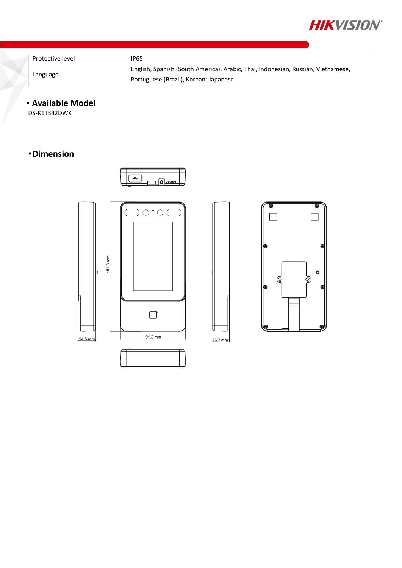

| Protective level | <b>IP65</b>                                                                      |
|------------------|----------------------------------------------------------------------------------|
| Language         | English, Spanish (South America), Arabic, Thai, Indonesian, Russian, Vietnamese, |
|                  | Portuguese (Brazil), Korean; Japanese                                            |

### **Available Model**

DS-K1T342DWX

## **Dimension**